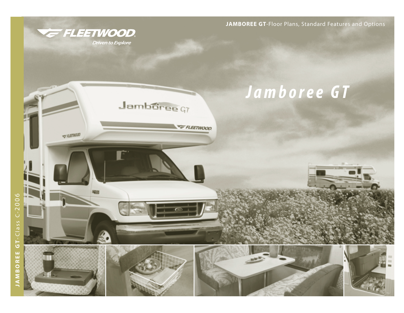**JAMBOREE GT**-Floor Plans, Standard Features and Options



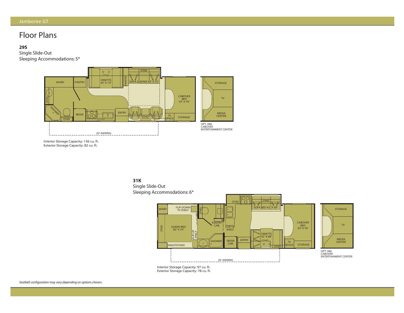## Floor Plans

### **29S**

Single Slide-Out Sleeping Accommodations: 5\*



Interior Storage Capacity: 136 cu. ft. xterior Storage Capacity: 82 Interior Storage Capacity: 136 cu. ft. Exterior Storage Capacity: 82 cu. ft.





Interior Charage Capacity: 70  $\mathcal{L} = \mathcal{L} \times \mathcal{L}$ Interior Storage Capacity: 97 cu. ft. Exterior Storage Capacity: 78 cu. ft.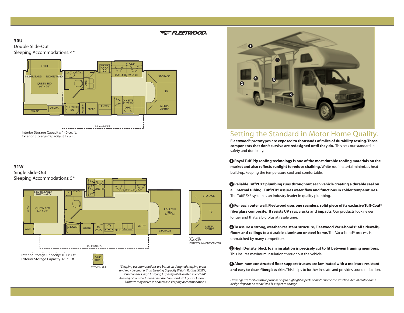### E FLEETWOOD.

STORAGE

MEDIA CENTER

TV

### **30U** Double Slide-Out Sleeping Accommodations: 4\*



Interior Storage Capacity: 140 cu. ft. Interior Storage Capacity: 140 cu. ft. Exterior Storage Capacity: 85 cu. ft. Exterior Storage Capacity: 85 cu. ft.

### **31W**

Single Slide-Out



Interior Storage Capacity: 101 cu. ft. Interior Storage Capacity: 101 cu. ft. Exterior Storage Capacity: 61 cu. ft. Exterior Storage Capacity: 61 cu. ft.



*\*Sleeping accommodations are based on designed sleeping areas and may be greater than Sleeping Capacity Weight Rating (SCWR) found on the Cargo Carrying Capacity label located in each RV. Sleeping accommodations are based on standard layout. Optional furniture may increase or decrease sleeping accommodations.*



## Setting the Standard in Motor Home Quality.

**Fleetwood® prototypes are exposed to thousands of miles of durability testing. Those components that don't survive are redesigned until they do.** This sets our standard in safety and durability.

**<sup>1</sup> Royal Tuff-Ply roofing technology is one of the most durable roofing materials on the market and also reflects sunlight to reduce chalking.** White roof material minimizes heat build-up, keeping the temperature cool and comfortable.

**2 Reliable TuffPEX® plumbing runs throughout each vehicle creating a durable seal on all internal tubing. TuffPEX® assures water flow and functions in colder temperatures.** The TuffPEX® system is an industry leader in quality plumbing.

**3 For each outer wall, Fleetwood uses one seamless, solid piece of its exclusive Tuff-Coat® fiberglass composite. It resists UV rays, cracks and impacts.**Our products look newer longer and that's a big plus at resale time.

**4 To assure a strong, weather-resistant structure, Fleetwood Vacu-bonds® all sidewalls, floors and ceilings to a durable aluminum or steel frame.** The Vacu-bond® process is unmatched by many competitors.

**5 High Density block foam insulation is precisely cut to fit between framing members.** This insures maximum insulation throughout the vehicle.

**6 Aluminum constructed floor support trusses are laminated with a moisture resistant and easy to clean fiberglass skin.** This helps to further insulate and provides sound reduction.

*Drawings are for illustrative purpose only to highlight aspects of motor home construction. Actual motor home design depends on model and is subject to change.*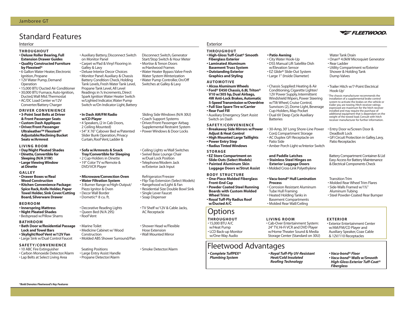## Standard Features

### Interior Exterior

- **THROUGHOUT**
- **Deluxe Roller Bearing, Full Extension Drawer Guides • Quality Constructed Furniture**
- **by Flexsteel®**
- 6 Gallon Water Heater, Electronic Ignition, Propane
- 12V Water Pump, Demand Operation
- 15,000 BTU Ducted Air Conditioner
- 30,000 BTU Furnace, Auto-Ignition, Ducted,Wall Mtd.Thermostat
- AC/DC Load Center w/12V Converter/Battery Charger

### **DRIVER CONVENIENCE**

- **3-Point Seat Belts at Driver**
- **& Front Passenger Seats**
- **Custom Dash Appliques • Driver/Front Passenger Ultraleather™ Flexsteel®**
- **Adjustable/Reclining Bucket Seats w/Armrest**
- **LIVING ROOM**
- **Day/Night Pleated Shades • Dinette,Convertible for**
- **Sleeping (N/A 31W) • Large Viewing Window at Dinette**

### **GALLEY**

- **Drawer Boxes w/Real Wood Construction**
- **Kitchen Convenience Package: Spice Rack, Knife Holder, Paper Towel Holder, Sink Cover/Cutting Board, Silverware Drawer**

### **BEDROOM**

- **Innerspring Mattress**
- **Night Pleated Shades**
- Bedspread w/Pillow Shams

### **BATHROOM**

- **Bath Door w/Residential Passage Lock and Towel Bars**
- **Skylight/Roof Vent w/12V Fan**
- Large Sink w/Dual Control Faucet

### **SAFETY/CONVENIENCE**

- 
- 
- 

### • 10 ABC Fire Extinguisher

- Carbon Monoxide Detector/Alarm
- Lap Belts at Select Living Area

• Auxiliary Battery, Disconnect Switch on Monitor Panel • Carpet w/Pad & Vinyl Flooring in Galley & Lavy • Deluxe Interior Decor Choices • Monitor Panel: Auxiliary & Chassis Battery Condition Check, Holding Tank Levels, Fresh Water Tank Level, Propane Tank Level, All Level Readings in **<sup>1</sup> ⁄4** Increments, Direct Spark Ignition Water Heater Switch w/Lighted Indicator,Water Pump Switch w/On Indicator Light, Battery

### **• In Dash AM/FM Radio w/CD Player**

• 4 Speakers, (2 in Cab Doors, 2 Ceiling Mounted) • 54" X 76" Cabover Bed w/Patented Slider Bunk Operation, Privacy Curtain,Roof Vent,Ladder &

### **• Sofa w/Armrests & Snack Tray/Convertible for Sleeping**

• 2 Cup-Holders in Dinette • 19" Color TV w/Remote & DVD/VCR Player

### **• Microwave/Convection Oven**

**• Water Filtration System** • 3-Burner Range w/High-Output/ Piezo Ignitor & Oven • Decor Wall Border • Dometic® 8 cu. ft.

### • Decorative Reading Lights • Queen Bed (N/A 29S) • Roof Vent

• Marine Toilet • Medicine Cabinet w/ Wood Construction

• Large Entry Assist Handle • Propane Detector/Alarm

• Molded ABS Shower Surround/Pan

Seating Positions

**THROUGHOUT • High-Gloss Tuff-Coat® Smooth Fiberglass Exterior • Laminated Aluminum Basement Truss System • Outstanding Exterior Graphics and Styling**

### **AUTOMOTIVE**

- **Alcoa Aluminum Wheels • Ford® E450 Chassis, 6.8L Triton® V10 w/305 hp, Dual Airbags, 4W Anti-Lock Brakes, Automatic 5-Speed Transmission w/Overdrive • Full Size Spare Tire w/Carrier • Rear Fuel Fill**
- Auxiliary Emergency Start Assist Switch on Dash

### **SAFETY/CONVENIENCE**

**• Breakaway Side Mirrors w/Power Adjust & Heat Control • High Mounted Large Taillights • Power Entry Step**

## Fleetwood Advantages

*• Complete TuffPEX® Plumbing System*

• 30-Amp, 30' Long Shore-Line Power Cord, Compartment Storage • AC Duplex GFI Receptacle on

• Chassis Supplied: Heating & Air Conditioning, Cigarette Lighter/ 12V Power Supply, Intermittent Windshield Wipers, Power Steering w/Tilt Wheel, Cruise Control, Sunvisors (2), Dome Light, Beverage Cup-Holders, Map Pocket • Dual 6V Deep Cycle Auxiliary

Patio Side

Batteries

**• Patio Awning** • City Water Hook-Up • DSS Manual Lift Satellite Dish w/Elevation Sensor • EZ Glide® Slide-Out System • Large 1" (Inside Diameter)

*• Royal Tuff-Ply UV-Resistant Heat/Cold Insulated Roofing Technology*

### Water Tank Drain

- Onan® 4.0kW Microquiet Generator • Rear Ladder
- Utility Compartment w/Exterior Shower & Holding Tank Dump Valves

### • Trailer Hitch w/7-Point Electrical Hook-Up†

† The chassis manufacturer recommends the installation of a supplemental brake control system to activate the brakes on the vehicle or trailer you are towing. Hitch receiver ratings expressed are maximum for the hitch receiver installed and may require the purchase of additional equipment that is dependant on the weight of the towed load. Consult with hitch receiver manufacturer for further information.

• Entry Door w/Screen Door & Deadbolt Lock • GFI Circuit Protection in Galley,Lavy, Patio Receptacles

Battery Compartment Container & Lid Easy Access for Battery Maintenance & Electrical Components Check

### Transition Trim

- Molded Rear Wheel Trim Flares • Side-Walls Framed w/1**<sup>1</sup> ⁄2**"
- Aluminum Tubing • Steel Powder-Coated Rear Bumper
- **EXTERIOR**

• Exterior Entertainment Center w/AM/FM/CD Player and Auxiliary Speaker, Coax Cable & 12V/110 Receptacles

*• Vacu-bond® Floor • Vacu-bond® Walls w/Smooth High-Gloss Exterior Tuff-Coat® Fiberglass*

**VE FLEETWOOD** 

### **• Radius Tinted Windows** • Amber Porch Light w/Interior Switch **STORAGE • EZ Store Compartment on Slide-Outs (Select Models) • Painted Aluminum Skin Luggage Doors w/Strut Assist and Paddle Latches • Stainless Steel Hinges on Exterior Luggage Doors** • Molded Cross-Link Polyethylene **BODY STRUCTURE • One-Piece Molded Fiberglass Front-End Cap • Powder Coated Steel Running Boards with Custom Molded Wheel Trims • Royal Tuff-Ply Radius Roof w/Ducted A/C • Vacu-bond® Hull Lamination Process** • Corrosion Resistant Aluminum Tube Hull Framing • Heated Holding Tanks in Basement Compartments • Molded Rear Wall/Ceiling • TV Shelf w/12V & Cable Jacks, **THROUGHOUT**  • 15,000 BTU A/C w/Heat Pump • LCD Back-up Monitor w/One-Way Audio **LIVING ROOM** • Cab-Over Entertainment System: 24" TV, Hi-Fi VCR and DVD Player w/Home Theater Sound & Media Storage Center (Standard on 30U) **Options** • Flip-Top Extension (Select Models) • Residential Size Double Bowl Sink

## *\*Bold Denotes Fleetwood's Key Features*

• Ceiling Lights w/Wall Switches • Swivel Base Lounge Chair w/Dual Lock Position • Telephone/Modem Jack

AC Receptacle

• Single Lever Faucet • Soap Dispenser

• Shower Head w/Flexible Hose Extension • Wall Mounted Mirror

• Smoke Detector/Alarm

# w/Exterior Jack Input Refrigerator/Freezer

• Rangehood w/Light & Fan

Disconnect Switch, Generator Start/Stop Switch & Hour Meter • Mortise & Tenon Doors w/Hardwood Frames • Water Heater Bypass Valve-Fresh Water System Winterization • Water Pump Controller, On/Off Switches at Galley & Lavy

Sliding Side Windows(N/A 30U) • Coach Support Systems • Driver/Front Passenger Airbag Supplemental Restraint System • Power Windows & Door Locks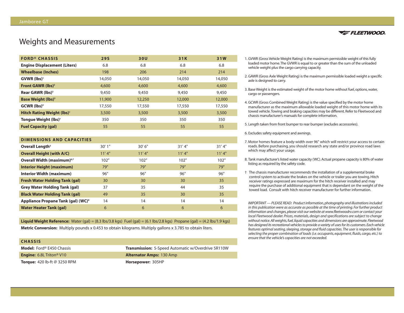## Weights and Measurements

| <b>FORD® CHASSIS</b>                         | <b>29S</b> | 30U    | 31K    | 31W    |
|----------------------------------------------|------------|--------|--------|--------|
| <b>Engine Displacement (Liters)</b>          | 6.8        | 6.8    | 6.8    | 6.8    |
| <b>Wheelbase (Inches)</b>                    | 198        | 206    | 214    | 214    |
| GVWR (lbs) <sup>1</sup>                      | 14,050     | 14,050 | 14,050 | 14,050 |
| <b>Front GAWR (lbs)<sup>2</sup></b>          | 4,600      | 4,600  | 4,600  | 4,600  |
| Rear GAWR (lbs) <sup>2</sup>                 | 9,450      | 9,450  | 9,450  | 9,450  |
| <b>Base Weight (lbs)<sup>3</sup></b>         | 11,900     | 12,250 | 12,000 | 12,000 |
| $GCWR$ (lbs) <sup>4</sup>                    | 17,550     | 17,550 | 17,550 | 17,550 |
| <b>Hitch Rating Weight (lbs)<sup>+</sup></b> | 3,500      | 3,500  | 3,500  | 3,500  |
| Tonque Weight (lbs) <sup>+</sup>             | 350        | 350    | 350    | 350    |
| <b>Fuel Capacity (gal)</b>                   | 55         | 55     | 55     | 55     |

### **DIMENSIONS AND CAPACITIES**

| Overall Length <sup>5</sup>                    | 30'1" | 30'6'' | 31'4'' | 31'4" |
|------------------------------------------------|-------|--------|--------|-------|
| <b>Overall Height (with A/C)</b>               | 11'4" | 11'4"  | 11'4"  | 11'4" |
| Overall Width (maximum) <sup>6,7</sup>         | 102"  | 102"   | 102"   | 102"  |
| <b>Interior Height (maximum)</b>               | 79"   | 79"    | 79"    | 79"   |
| Interior Width (maximum)                       | 96"   | 96"    | 96"    | 96"   |
| <b>Fresh Water Holding Tank (gal)</b>          | 30    | 30     | 30     | 35    |
| <b>Grey Water Holding Tank (gal)</b>           | 37    | 35     | 44     | 35    |
| <b>Black Water Holding Tank (gal)</b>          | 49    | 35     | 30     | 35    |
| Appliance Propane Tank (gal) (WC) <sup>8</sup> | 14    | 14     | 14     | 14    |
| <b>Water Heater Tank (gal)</b>                 | 6     | 6      | 6      | 6     |

**Liquid Weight Reference:** Water (gal) =  $(8.3 \text{ lbs}/3.8 \text{ kg})$  Fuel (gal) =  $(6.1 \text{ lbs}/2.8 \text{ kg})$  Propane (gal) =  $(4.2 \text{ lbs}/1.9 \text{ kg})$ 

**Metric Conversion:** Multiply pounds x 0.453 to obtain kilograms. Multiply gallons x 3.785 to obtain liters.

### **CHASSIS**

| <b>Model:</b> Ford® E450 Chassis            | <b>Transmission:</b> 5-Speed Automatic w/Overdrive 5R110W |
|---------------------------------------------|-----------------------------------------------------------|
| <b>Engine:</b> 6.8L Triton <sup>®</sup> V10 | <b>Alternator Amps: 130 Amp</b>                           |
| <b>Torque:</b> 420 lb-ft $@$ 3250 RPM       | Horsepower: 305HP                                         |



- 1. GVWR (Gross Vehicle Weight Rating) is the maximum permissible weight of this fully loaded motor home.The GVWR is equal to or greater than the sum of the unloaded vehicle weight plus the cargo carrying capacity.
- 2. GAWR (Gross Axle Weight Rating) is the maximum permissible loaded weight a specific axle is designed to carry.
- 3. Base Weight is the estimated weight of the motor home without fuel, options, water, cargo or passengers.
- 4. GCWR (Gross Combined Weight Rating) is the value specified by the motor home manufacturer as the maximum allowable loaded weight of this motor home with its towed vehicle.Towing and braking capacities may be different. Refer to Fleetwood and chassis manufacturer's manuals for complete information.
- 5. Length taken from front bumper to rear bumper (excludes accessories).

6. Excludes safety equipment and awnings.

- 7. Motor homes feature a body-width over 96" which will restrict your access to certain roads. Before purchasing, you should research any state and/or province road laws which may affect your usage.
- 8. Tank manufacturer's listed water capacity (WC). Actual propane capacity is 80% of water listing as required by the safety code.
- † The chassis manufacturer recommends the installation of a supplemental brake control system to activate the brakes on the vehicle or trailer you are towing. Hitch receiver ratings expressed are maximum for the hitch receiver installed and may require the purchase of additional equipment that is dependant on the weight of the towed load. Consult with hitch receiver manufacturer for further information.

*IMPORTANT — PLEASE READ: Product information, photography and illustrations included in this publication were as accurate as possible at the time of printing. For further product information and changes, please visit our website at www.fleetwoodrv.com or contact your local Fleetwood dealer. Prices, materials, design and specifications are subject to change without notice.All weights, fuel, liquid capacities and dimensions are approximate.Fleetwood has designed its recreational vehicles to provide a variety of uses for its customers.Each vehicle features optimal seating, sleeping, storage and fluid capacities.The user is responsible for selecting the proper combination of loads (i.e. occupants, equipment, fluids, cargo, etc.) to ensure that the vehicle's capacities are not exceeded.*